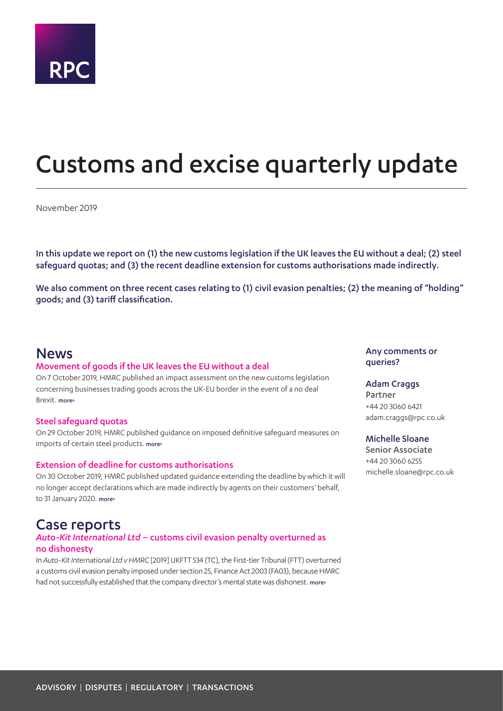

# <span id="page-0-0"></span>Customs and excise quarterly update

November 2019

In this update we report on (1) the new customs legislation if the UK leaves the EU without a deal; (2) steel safeguard quotas; and (3) the recent deadline extension for customs authorisations made indirectly.

We also comment on three recent cases relating to (1) civil evasion penalties; (2) the meaning of "holding" goods; and (3) tariff classification.

### News

#### Movement of goods if the UK leaves the EU without a deal

On 7 October 2019, HMRC published an impact assessment on the new customs legislation concerning businesses trading goods across the UK-EU border in the event of a no deal Brexit. [more>](#page-2-0)

#### Steel safeguard quotas

On 29 October 2019, HMRC published guidance on imposed definitive safeguard measures on imports of certain steel products. [more>](#page-2-1)

#### Extension of deadline for customs authorisations

On 30 October 2019, HMRC published updated guidance extending the deadline by which it will no longer accept declarations which are made indirectly by agents on their customers' behalf, to 31 January 2020. [more>](#page-2-2)

## Case reports

#### *Auto-Kit International Ltd* – customs civil evasion penalty overturned as no dishonesty

In *Auto-Kit International Ltd v HMRC* [2019] UKFTT 534 (TC), the First-tier Tribunal (FTT) overturned a customs civil evasion penalty imposed under section 25, Finance Act 2003 (FA03), because HMRC had not successfully established that the company director's mental state was dishonest. more>

Any comments or queries?

#### Adam Craggs

Partner +44 20 3060 6421 adam.craggs@rpc.co.uk

#### Michelle Sloane

Senior Associate +44 20 3060 6255 michelle.sloane@rpc.co.uk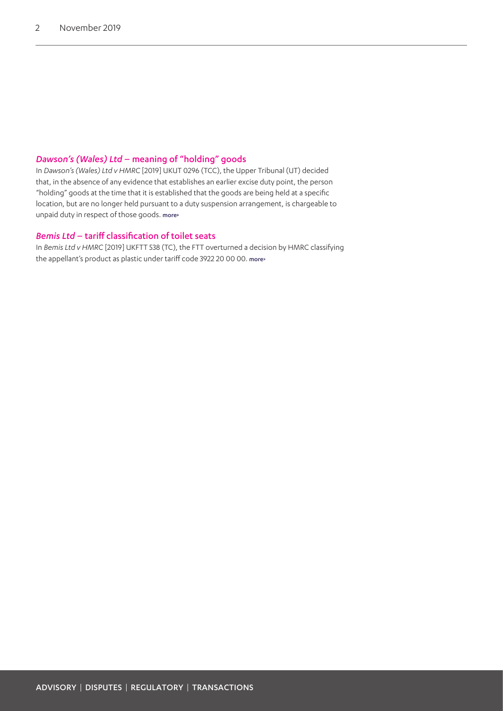#### *Dawson's (Wales) Ltd* – meaning of "holding" goods

In *Dawson's (Wales) Ltd v HMRC* [2019] UKUT 0296 (TCC), the Upper Tribunal (UT) decided that, in the absence of any evidence that establishes an earlier excise duty point, the person "holding" goods at the time that it is established that the goods are being held at a specific location, but are no longer held pursuant to a duty suspension arrangement, is chargeable to unpaid duty in respect of those goods. more**>**

#### *Bemis Ltd* – tariff classification of toilet seats

In *Bemis Ltd v HMRC* [2019] UKFTT 538 (TC), the FTT overturned a decision by HMRC classifying the appellant's product as plastic under tariff code 3922 20 00 00. [more>](#page-7-0)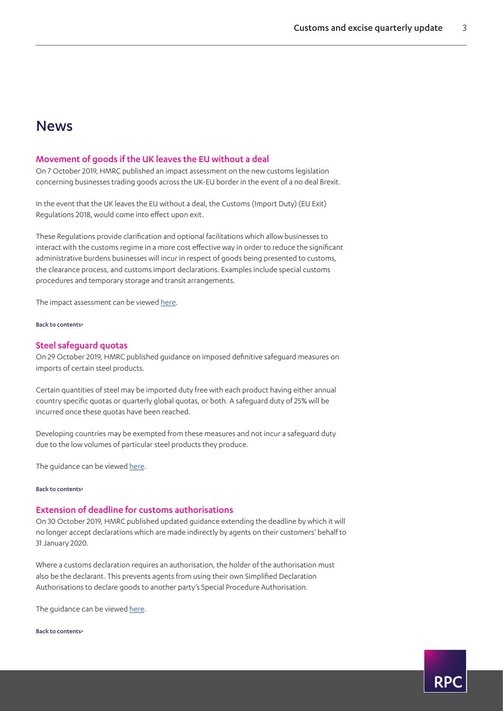# News

#### <span id="page-2-0"></span>Movement of goods if the UK leaves the EU without a deal

On 7 October 2019, HMRC published an impact assessment on the new customs legislation concerning businesses trading goods across the UK-EU border in the event of a no deal Brexit.

In the event that the UK leaves the EU without a deal, the Customs (Import Duty) (EU Exit) Regulations 2018, would come into effect upon exit.

These Regulations provide clarification and optional facilitations which allow businesses to interact with the customs regime in a more cost effective way in order to reduce the significant administrative burdens businesses will incur in respect of goods being presented to customs, the clearance process, and customs import declarations. Examples include special customs procedures and temporary storage and transit arrangements.

The impact assessment can be viewed [here.](https://www.gov.uk/government/publications/hmrc-impact-assessment-for-the-movement-of-goods-if-the-uk-leaves-the-eu-without-a-deal/hmrc-impact-assessment-for-the-movement-of-goods-if-the-uk-leaves-the-eu-without-a-deal)

#### [Back to contents>](#page-0-0)

#### <span id="page-2-1"></span>Steel safeguard quotas

On 29 October 2019, HMRC published guidance on imposed definitive safeguard measures on imports of certain steel products.

Certain quantities of steel may be imported duty free with each product having either annual country specific quotas or quarterly global quotas, or both. A safeguard duty of 25% will be incurred once these quotas have been reached.

Developing countries may be exempted from these measures and not incur a safeguard duty due to the low volumes of particular steel products they produce.

The guidance can be viewed [here.](https://www.gov.uk/guidance/steel-safeguard-quotas-and-measures-amendments-cip14)

#### [Back to contents>](#page-0-0)

#### <span id="page-2-2"></span>Extension of deadline for customs authorisations

On 30 October 2019, HMRC published updated guidance extending the deadline by which it will no longer accept declarations which are made indirectly by agents on their customers' behalf to 31 January 2020.

Where a customs declaration requires an authorisation, the holder of the authorisation must also be the declarant. This prevents agents from using their own Simplified Declaration Authorisations to declare goods to another party's Special Procedure Authorisation.

The guidance can be viewed [here.](https://www.gov.uk/guidance/extension-to-implementation-date-of-the-change-in-approach-on-indirect-representation-for-some-customs-authorisations-holders-cip15)

[Back to contents>](#page-0-0)

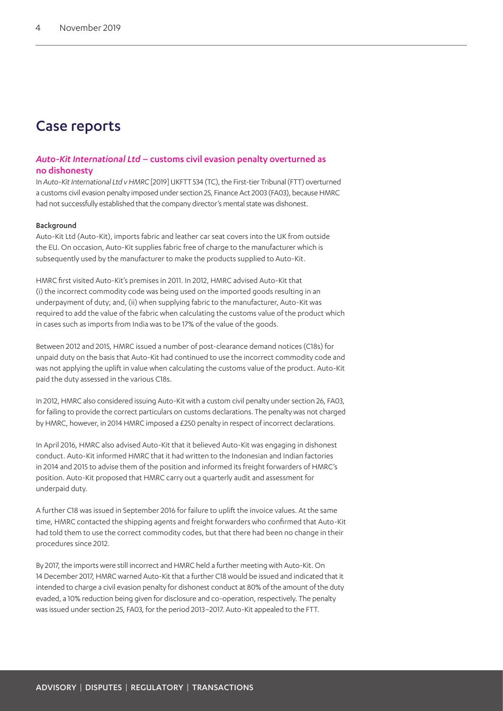# Case reports

#### *Auto-Kit International Ltd* – customs civil evasion penalty overturned as no dishonesty

In *Auto-Kit International Ltd v HMRC* [2019] UKFTT 534 (TC), the First-tier Tribunal (FTT) overturned a customs civil evasion penalty imposed under section 25, Finance Act 2003 (FA03), because HMRC had not successfully established that the company director's mental state was dishonest.

#### Background

Auto-Kit Ltd (Auto-Kit), imports fabric and leather car seat covers into the UK from outside the EU. On occasion, Auto-Kit supplies fabric free of charge to the manufacturer which is subsequently used by the manufacturer to make the products supplied to Auto-Kit.

HMRC first visited Auto-Kit's premises in 2011. In 2012, HMRC advised Auto-Kit that (i) the incorrect commodity code was being used on the imported goods resulting in an underpayment of duty; and, (ii) when supplying fabric to the manufacturer, Auto-Kit was required to add the value of the fabric when calculating the customs value of the product which in cases such as imports from India was to be 17% of the value of the goods.

Between 2012 and 2015, HMRC issued a number of post-clearance demand notices (C18s) for unpaid duty on the basis that Auto-Kit had continued to use the incorrect commodity code and was not applying the uplift in value when calculating the customs value of the product. Auto-Kit paid the duty assessed in the various C18s.

In 2012, HMRC also considered issuing Auto-Kit with a custom civil penalty under section 26, FA03, for failing to provide the correct particulars on customs declarations. The penalty was not charged by HMRC, however, in 2014 HMRC imposed a £250 penalty in respect of incorrect declarations.

In April 2016, HMRC also advised Auto-Kit that it believed Auto-Kit was engaging in dishonest conduct. Auto-Kit informed HMRC that it had written to the Indonesian and Indian factories in 2014 and 2015 to advise them of the position and informed its freight forwarders of HMRC's position. Auto-Kit proposed that HMRC carry out a quarterly audit and assessment for underpaid duty.

A further C18 was issued in September 2016 for failure to uplift the invoice values. At the same time, HMRC contacted the shipping agents and freight forwarders who confirmed that Auto-Kit had told them to use the correct commodity codes, but that there had been no change in their procedures since 2012.

By 2017, the imports were still incorrect and HMRC held a further meeting with Auto-Kit. On 14 December 2017, HMRC warned Auto-Kit that a further C18 would be issued and indicated that it intended to charge a civil evasion penalty for dishonest conduct at 80% of the amount of the duty evaded, a 10% reduction being given for disclosure and co-operation, respectively. The penalty was issued under section 25, FA03, for the period 2013–2017. Auto-Kit appealed to the FTT.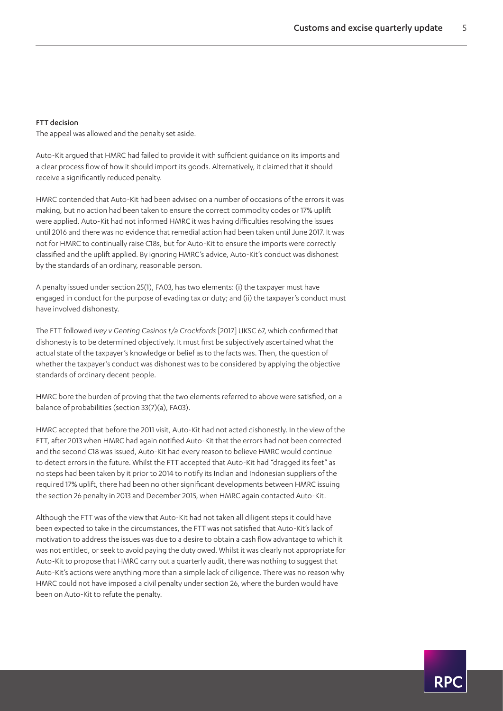#### FTT decision

The appeal was allowed and the penalty set aside.

Auto-Kit argued that HMRC had failed to provide it with sufficient guidance on its imports and a clear process flow of how it should import its goods. Alternatively, it claimed that it should receive a significantly reduced penalty.

HMRC contended that Auto-Kit had been advised on a number of occasions of the errors it was making, but no action had been taken to ensure the correct commodity codes or 17% uplift were applied. Auto-Kit had not informed HMRC it was having difficulties resolving the issues until 2016 and there was no evidence that remedial action had been taken until June 2017. It was not for HMRC to continually raise C18s, but for Auto-Kit to ensure the imports were correctly classified and the uplift applied. By ignoring HMRC's advice, Auto-Kit's conduct was dishonest by the standards of an ordinary, reasonable person.

A penalty issued under section 25(1), FA03, has two elements: (i) the taxpayer must have engaged in conduct for the purpose of evading tax or duty; and (ii) the taxpayer's conduct must have involved dishonesty.

The FTT followed *Ivey v Genting Casinos t/a Crockfords* [2017] UKSC 67, which confirmed that dishonesty is to be determined objectively. It must first be subjectively ascertained what the actual state of the taxpayer's knowledge or belief as to the facts was. Then, the question of whether the taxpayer's conduct was dishonest was to be considered by applying the objective standards of ordinary decent people.

HMRC bore the burden of proving that the two elements referred to above were satisfied, on a balance of probabilities (section 33(7)(a), FA03).

HMRC accepted that before the 2011 visit, Auto-Kit had not acted dishonestly. In the view of the FTT, after 2013 when HMRC had again notified Auto-Kit that the errors had not been corrected and the second C18 was issued, Auto-Kit had every reason to believe HMRC would continue to detect errors in the future. Whilst the FTT accepted that Auto-Kit had "dragged its feet" as no steps had been taken by it prior to 2014 to notify its Indian and Indonesian suppliers of the required 17% uplift, there had been no other significant developments between HMRC issuing the section 26 penalty in 2013 and December 2015, when HMRC again contacted Auto-Kit.

Although the FTT was of the view that Auto-Kit had not taken all diligent steps it could have been expected to take in the circumstances, the FTT was not satisfied that Auto-Kit's lack of motivation to address the issues was due to a desire to obtain a cash flow advantage to which it was not entitled, or seek to avoid paying the duty owed. Whilst it was clearly not appropriate for Auto-Kit to propose that HMRC carry out a quarterly audit, there was nothing to suggest that Auto-Kit's actions were anything more than a simple lack of diligence. There was no reason why HMRC could not have imposed a civil penalty under section 26, where the burden would have been on Auto-Kit to refute the penalty.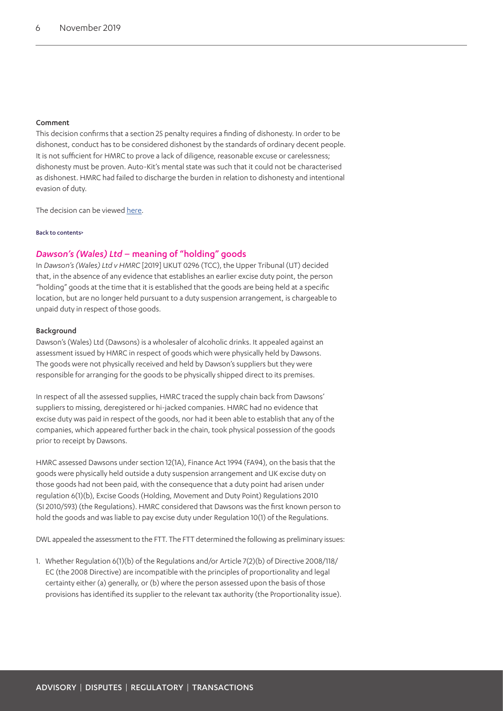#### Comment

This decision confirms that a section 25 penalty requires a finding of dishonesty. In order to be dishonest, conduct has to be considered dishonest by the standards of ordinary decent people. It is not sufficient for HMRC to prove a lack of diligence, reasonable excuse or carelessness; dishonesty must be proven. Auto-Kit's mental state was such that it could not be characterised as dishonest. HMRC had failed to discharge the burden in relation to dishonesty and intentional evasion of duty.

The decision can be viewed [here.](https://www.bailii.org/uk/cases/UKFTT/TC/2019/TC07328.html)

#### [Back to contents>](#page-0-0)

#### *Dawson's (Wales) Ltd* – meaning of "holding" goods

In *Dawson's (Wales) Ltd v HMRC* [2019] UKUT 0296 (TCC), the Upper Tribunal (UT) decided that, in the absence of any evidence that establishes an earlier excise duty point, the person "holding" goods at the time that it is established that the goods are being held at a specific location, but are no longer held pursuant to a duty suspension arrangement, is chargeable to unpaid duty in respect of those goods.

#### Background

Dawson's (Wales) Ltd (Dawsons) is a wholesaler of alcoholic drinks. It appealed against an assessment issued by HMRC in respect of goods which were physically held by Dawsons. The goods were not physically received and held by Dawson's suppliers but they were responsible for arranging for the goods to be physically shipped direct to its premises.

In respect of all the assessed supplies, HMRC traced the supply chain back from Dawsons' suppliers to missing, deregistered or hi-jacked companies. HMRC had no evidence that excise duty was paid in respect of the goods, nor had it been able to establish that any of the companies, which appeared further back in the chain, took physical possession of the goods prior to receipt by Dawsons.

HMRC assessed Dawsons under section 12(1A), Finance Act 1994 (FA94), on the basis that the goods were physically held outside a duty suspension arrangement and UK excise duty on those goods had not been paid, with the consequence that a duty point had arisen under regulation 6(1)(b), Excise Goods (Holding, Movement and Duty Point) Regulations 2010 (SI 2010/593) (the Regulations). HMRC considered that Dawsons was the first known person to hold the goods and was liable to pay excise duty under Regulation 10(1) of the Regulations.

DWL appealed the assessment to the FTT. The FTT determined the following as preliminary issues:

1. Whether Regulation 6(1)(b) of the Regulations and/or Article 7(2)(b) of Directive 2008/118/ EC (the 2008 Directive) are incompatible with the principles of proportionality and legal certainty either (a) generally, or (b) where the person assessed upon the basis of those provisions has identified its supplier to the relevant tax authority (the Proportionality issue).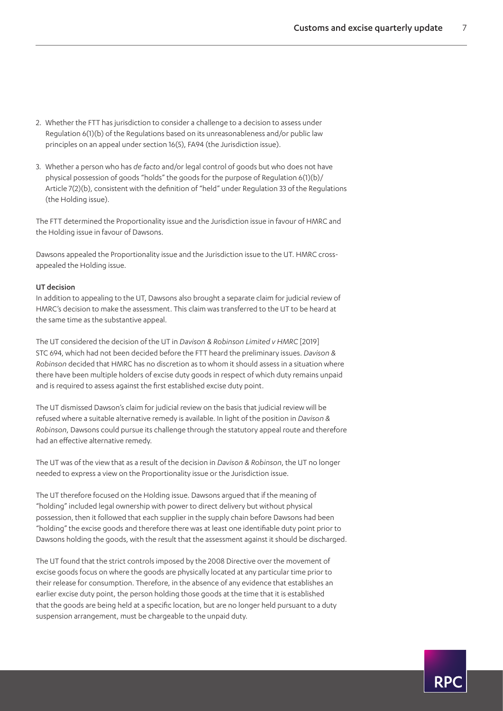- 2. Whether the FTT has jurisdiction to consider a challenge to a decision to assess under Regulation 6(1)(b) of the Regulations based on its unreasonableness and/or public law principles on an appeal under section 16(5), FA94 (the Jurisdiction issue).
- 3. Whether a person who has *de facto* and/or legal control of goods but who does not have physical possession of goods "holds" the goods for the purpose of Regulation 6(1)(b)/ Article 7(2)(b), consistent with the definition of "held" under Regulation 33 of the Regulations (the Holding issue).

The FTT determined the Proportionality issue and the Jurisdiction issue in favour of HMRC and the Holding issue in favour of Dawsons.

Dawsons appealed the Proportionality issue and the Jurisdiction issue to the UT. HMRC crossappealed the Holding issue.

#### UT decision

In addition to appealing to the UT, Dawsons also brought a separate claim for judicial review of HMRC's decision to make the assessment. This claim was transferred to the UT to be heard at the same time as the substantive appeal.

The UT considered the decision of the UT in *Davison & Robinson Limited v HMRC* [2019] STC 694, which had not been decided before the FTT heard the preliminary issues. *Davison & Robinson* decided that HMRC has no discretion as to whom it should assess in a situation where there have been multiple holders of excise duty goods in respect of which duty remains unpaid and is required to assess against the first established excise duty point.

The UT dismissed Dawson's claim for judicial review on the basis that judicial review will be refused where a suitable alternative remedy is available. In light of the position in *Davison & Robinson*, Dawsons could pursue its challenge through the statutory appeal route and therefore had an effective alternative remedy.

The UT was of the view that as a result of the decision in *Davison & Robinson*, the UT no longer needed to express a view on the Proportionality issue or the Jurisdiction issue.

The UT therefore focused on the Holding issue. Dawsons argued that if the meaning of "holding" included legal ownership with power to direct delivery but without physical possession, then it followed that each supplier in the supply chain before Dawsons had been "holding" the excise goods and therefore there was at least one identifiable duty point prior to Dawsons holding the goods, with the result that the assessment against it should be discharged.

The UT found that the strict controls imposed by the 2008 Directive over the movement of excise goods focus on where the goods are physically located at any particular time prior to their release for consumption. Therefore, in the absence of any evidence that establishes an earlier excise duty point, the person holding those goods at the time that it is established that the goods are being held at a specific location, but are no longer held pursuant to a duty suspension arrangement, must be chargeable to the unpaid duty.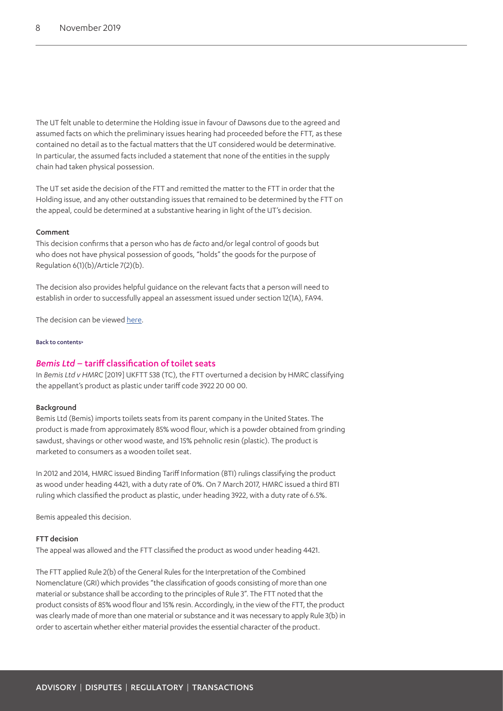The UT felt unable to determine the Holding issue in favour of Dawsons due to the agreed and assumed facts on which the preliminary issues hearing had proceeded before the FTT, as these contained no detail as to the factual matters that the UT considered would be determinative. In particular, the assumed facts included a statement that none of the entities in the supply chain had taken physical possession.

The UT set aside the decision of the FTT and remitted the matter to the FTT in order that the Holding issue, and any other outstanding issues that remained to be determined by the FTT on the appeal, could be determined at a substantive hearing in light of the UT's decision.

#### Comment

This decision confirms that a person who has *de facto* and/or legal control of goods but who does not have physical possession of goods, "holds" the goods for the purpose of Regulation 6(1)(b)/Article 7(2)(b).

The decision also provides helpful guidance on the relevant facts that a person will need to establish in order to successfully appeal an assessment issued under section 12(1A), FA94.

The decision can be viewed [here.](https://www.bailii.org/uk/cases/UKUT/TCC/2019/296.pdf)

#### [Back to contents>](#page-0-0)

#### <span id="page-7-0"></span>*Bemis Ltd* – tariff classification of toilet seats

In *Bemis Ltd v HMRC* [2019] UKFTT 538 (TC), the FTT overturned a decision by HMRC classifying the appellant's product as plastic under tariff code 3922 20 00 00.

#### Background

Bemis Ltd (Bemis) imports toilets seats from its parent company in the United States. The product is made from approximately 85% wood flour, which is a powder obtained from grinding sawdust, shavings or other wood waste, and 15% pehnolic resin (plastic). The product is marketed to consumers as a wooden toilet seat.

In 2012 and 2014, HMRC issued Binding Tariff Information (BTI) rulings classifying the product as wood under heading 4421, with a duty rate of 0%. On 7 March 2017, HMRC issued a third BTI ruling which classified the product as plastic, under heading 3922, with a duty rate of 6.5%.

Bemis appealed this decision.

#### FTT decision

The appeal was allowed and the FTT classified the product as wood under heading 4421.

The FTT applied Rule 2(b) of the General Rules for the Interpretation of the Combined Nomenclature (GRI) which provides "the classification of goods consisting of more than one material or substance shall be according to the principles of Rule 3". The FTT noted that the product consists of 85% wood flour and 15% resin. Accordingly, in the view of the FTT, the product was clearly made of more than one material or substance and it was necessary to apply Rule 3(b) in order to ascertain whether either material provides the essential character of the product.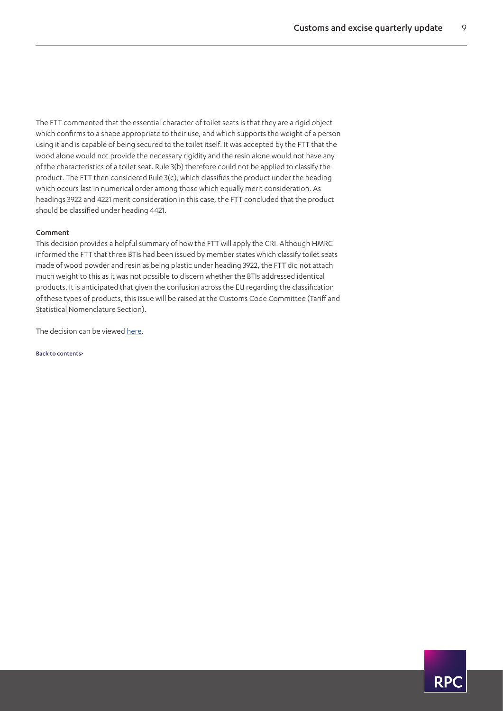**RP** 

The FTT commented that the essential character of toilet seats is that they are a rigid object which confirms to a shape appropriate to their use, and which supports the weight of a person using it and is capable of being secured to the toilet itself. It was accepted by the FTT that the wood alone would not provide the necessary rigidity and the resin alone would not have any of the characteristics of a toilet seat. Rule 3(b) therefore could not be applied to classify the product. The FTT then considered Rule 3(c), which classifies the product under the heading which occurs last in numerical order among those which equally merit consideration. As headings 3922 and 4221 merit consideration in this case, the FTT concluded that the product should be classified under heading 4421.

#### Comment

This decision provides a helpful summary of how the FTT will apply the GRI. Although HMRC informed the FTT that three BTIs had been issued by member states which classify toilet seats made of wood powder and resin as being plastic under heading 3922, the FTT did not attach much weight to this as it was not possible to discern whether the BTIs addressed identical products. It is anticipated that given the confusion across the EU regarding the classification of these types of products, this issue will be raised at the Customs Code Committee (Tariff and Statistical Nomenclature Section).

The decision can be viewed [here.](http://financeandtax.decisions.tribunals.gov.uk/judgmentfiles/j11293/TC07332.pdf)

[Back to contents>](#page-0-0)